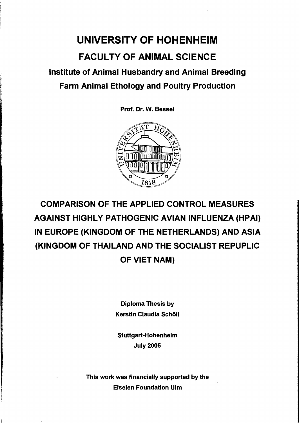## UNIVERSITY OF HOHENHEIM FACUL TY OF ANIMAL SCIENCE Institute of Animal Husbandry and Animal Breeding Farm Animal Ethology and Poultry Production

Prof. Dr. W. Bessei



## COMPARISON OF THE APPLIED CONTROL MEASURES AGAINST HIGHLY PATHOGENIC AVIAN INFLUENZA (HPAI) IN EUROPE (KINGDOM OF THE NETHERLANDS) AND ASIA (KINGDOM OF THAILAND AND THE SOCIALIST REPUPLIC OF VIET NAM)

Diploma Thesis by Kerstin Claudia Schöll

Stuttgart-Hohenheim July 2005

This work was financially supported by the Eiselen Foundation Ulm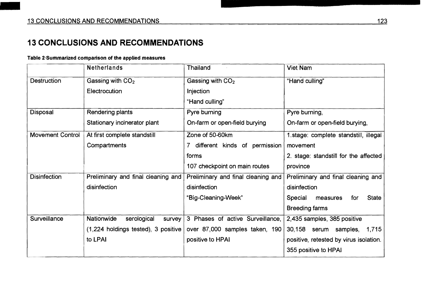## **13 CONCLUSIONS AND RECOMMENDATIONS**

## Table 2<sup>.</sup>Summarized comparison of the applied measures

|                         | <b>Netherlands</b>                    | Thailand                           | <b>Viet Nam</b>                            |
|-------------------------|---------------------------------------|------------------------------------|--------------------------------------------|
| <b>Destruction</b>      | Gassing with $CO2$                    | Gassing with $CO2$                 | "Hand culling"                             |
|                         | Electrocution                         | Injection                          |                                            |
|                         |                                       | "Hand culling"                     |                                            |
| Disposal                | Rendering plants                      | Pyre burning                       | Pyre burning,                              |
|                         | Stationary incinerator plant          | On-farm or open-field burying      | On-farm or open-field burying,             |
| <b>Movement Control</b> | At first complete standstill          | Zone of 50-60km                    | 1.stage: complete standstill, illegal      |
|                         | Compartments                          | 7 different kinds of permission    | movement                                   |
|                         |                                       | forms                              | 2. stage: standstill for the affected      |
|                         |                                       | 107 checkpoint on main routes      | province                                   |
| <b>Disinfection</b>     | Preliminary and final cleaning and    | Preliminary and final cleaning and | Preliminary and final cleaning and         |
|                         | disinfection                          | disinfection                       | disinfection                               |
|                         |                                       | "Big-Cleaning-Week"                | <b>State</b><br>Special<br>measures<br>for |
|                         |                                       |                                    | <b>Breeding farms</b>                      |
| Surveillance            | Nationwide<br>serological<br>survey   | 3 Phases of active Surveillance,   | 2,435 samples, 385 positive                |
|                         | $(1,224$ holdings tested), 3 positive | over 87,000 samples taken, 190     | 30,158 serum samples,<br>1,715             |
|                         | to LPAI                               | positive to HPAI                   | positive, retested by virus isolation.     |
|                         |                                       |                                    | 355 positive to HPAI                       |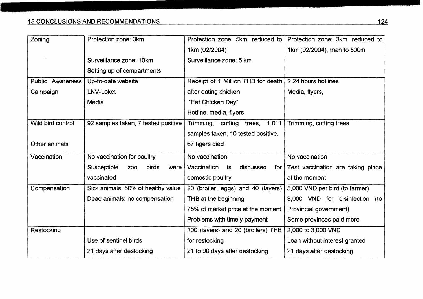| Zoning            | Protection zone: 3km                       | Protection zone: 5km, reduced to                       | Protection zone: 3km, reduced to  |
|-------------------|--------------------------------------------|--------------------------------------------------------|-----------------------------------|
|                   |                                            | 1km (02/2004)                                          | 1km (02/2004), than to 500m       |
|                   | Surveillance zone: 10km                    | Surveillance zone: 5 km                                |                                   |
|                   | Setting up of compartments                 |                                                        |                                   |
| Public Awareness  | Up-to-date website                         | Receipt of 1 Million THB for death 2 24 hours hotlines |                                   |
| Campaign          | LNV-Loket                                  | after eating chicken                                   | Media, flyers,                    |
|                   | Media                                      | "Eat Chicken Day"                                      |                                   |
|                   |                                            | Hotline, media, flyers                                 |                                   |
| Wild bird control | 92 samples taken, 7 tested positive        | Trimming, cutting trees, 1,011                         | Trimming, cutting trees           |
|                   |                                            | samples taken, 10 tested positive.                     |                                   |
| Other animals     |                                            | 67 tigers died                                         |                                   |
| Vaccination       | No vaccination for poultry                 | No vaccination                                         | No vaccination                    |
|                   | Susceptible<br>birds<br><b>ZOO</b><br>were | Vaccination<br>discussed<br>is<br>for $ $              | Test vaccination are taking place |
|                   | vaccinated                                 | domestic poultry                                       | at the moment                     |
| Compensation      | Sick animals: 50% of healthy value         | 20 (broiler, eggs) and 40 (layers)                     | 5,000 VND per bird (to farmer)    |
|                   | Dead animals: no compensation              | THB at the beginning                                   | 3,000 VND for disinfection (to    |
|                   |                                            | 75% of market price at the moment                      | Provincial government)            |
|                   |                                            | Problems with timely payment                           | Some provinces paid more          |
| Restocking        |                                            | 100 (layers) and 20 (broilers) THB                     | 2,000 to 3,000 VND                |
|                   | Use of sentinel birds                      | for restocking                                         | Loan without interest granted     |
|                   | 21 days after destocking                   | 21 to 90 days after destocking                         | 21 days after destocking          |
|                   |                                            |                                                        |                                   |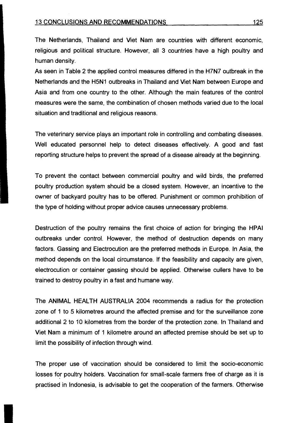The Netherlands, Thailand and Viet Nam are countries with different economic, religious and political structure. However, al\ 3 countries have a high poultry and human density.

As seen in Table 2 the applied control measures differed in the H7N7 outbreak in the Netherlands and the H5N1 outbreaks in Thailand and Viet Nam between Europe and Asia and from one country to the other. Although the main features of the control measures were the same, the combination of chosen methods varied due to the local situation and traditional and religious reasons.

The veterinary service plays an important role in controlling and combating diseases. Weil educated personnel help to detect diseases effectively. A good and fast reporting structure helps to prevent the spread of a disease already at the beginning.

T0 prevent the contact between commercial poultry and wild birds, the preferred poultry production system should be a closed system. However, an incentive to the owner of backyard poultry has to be offered. Punishment or common prohibition of the type of holding without proper advice causes unnecessary problems.

Destruction of the poultry remains the first choice of action for bringing the HPAI outbreaks under contro!. However, the method of destruction depends on many factors. Gassing and Electrocution are the preferred methods in Europe. In Asia, the method depends on the local circumstance. If the feasibility and capacity are given, electracution or container gassing should be applied. Otherwise cullers have to be trained to destroy poultry in a fast and humane way.

The ANIMAL HEALTH AUSTRALIA 2004 recommends a radius for the protection zone of 1 to 5 kilometres around the affected premise and for the surveillance zone additional 2 to 10 kilometres from the border of the protection zone. In Thailand and Viet Nam a minimum of 1 kilometre around an affected premise should be set up to limit the possibility of infection through wind.

The proper use of vaccination should be considered to limit the socio-economic losses for poultry holders. Vaccination for small-scale farmers free of charge as it is practised in Indonesia, is advisable to get the cooperation of the farmers. Otherwise